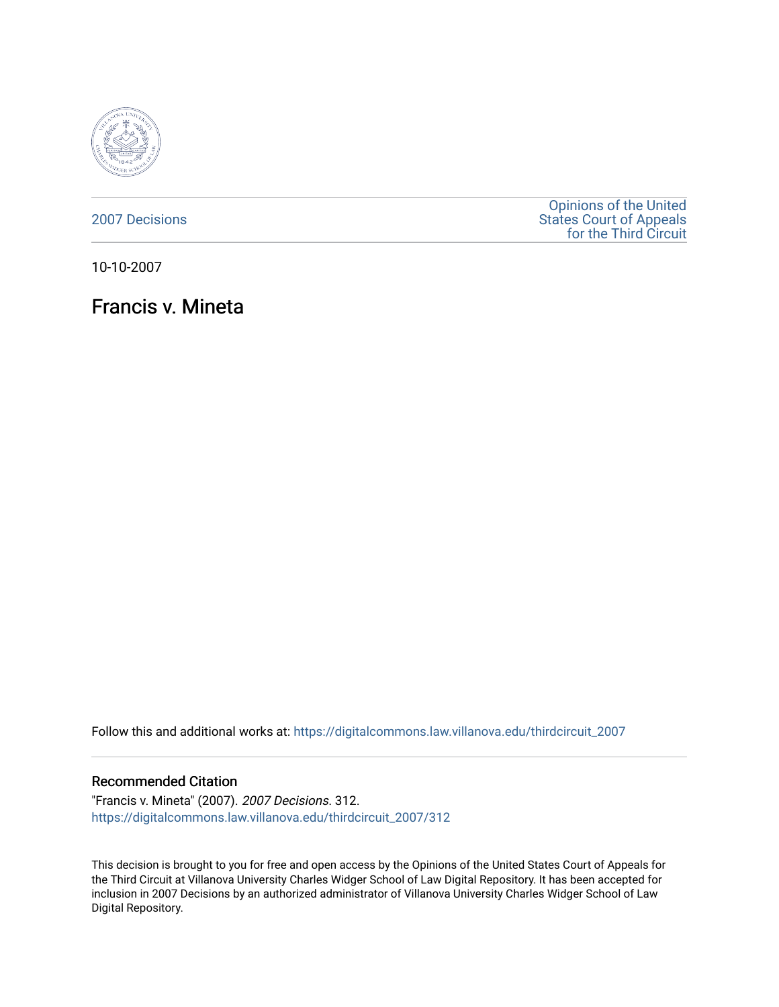

[2007 Decisions](https://digitalcommons.law.villanova.edu/thirdcircuit_2007)

[Opinions of the United](https://digitalcommons.law.villanova.edu/thirdcircuit)  [States Court of Appeals](https://digitalcommons.law.villanova.edu/thirdcircuit)  [for the Third Circuit](https://digitalcommons.law.villanova.edu/thirdcircuit) 

10-10-2007

Francis v. Mineta

Follow this and additional works at: [https://digitalcommons.law.villanova.edu/thirdcircuit\\_2007](https://digitalcommons.law.villanova.edu/thirdcircuit_2007?utm_source=digitalcommons.law.villanova.edu%2Fthirdcircuit_2007%2F312&utm_medium=PDF&utm_campaign=PDFCoverPages) 

### Recommended Citation

"Francis v. Mineta" (2007). 2007 Decisions. 312. [https://digitalcommons.law.villanova.edu/thirdcircuit\\_2007/312](https://digitalcommons.law.villanova.edu/thirdcircuit_2007/312?utm_source=digitalcommons.law.villanova.edu%2Fthirdcircuit_2007%2F312&utm_medium=PDF&utm_campaign=PDFCoverPages)

This decision is brought to you for free and open access by the Opinions of the United States Court of Appeals for the Third Circuit at Villanova University Charles Widger School of Law Digital Repository. It has been accepted for inclusion in 2007 Decisions by an authorized administrator of Villanova University Charles Widger School of Law Digital Repository.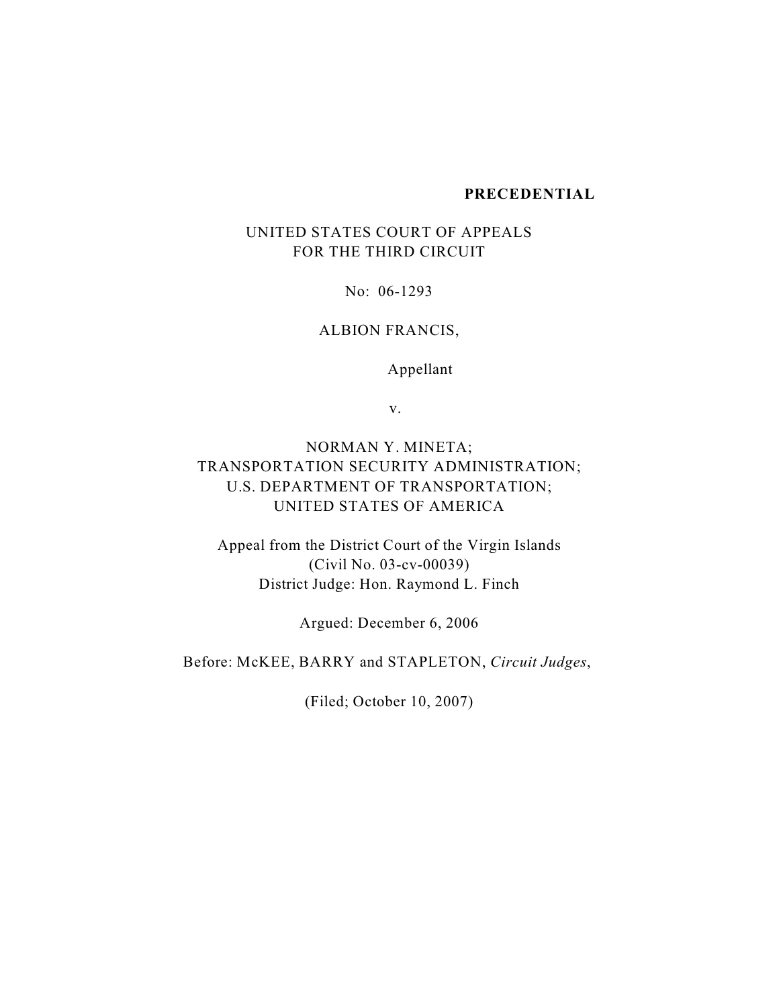#### **PRECEDENTIAL**

# UNITED STATES COURT OF APPEALS FOR THE THIRD CIRCUIT

No: 06-1293

# ALBION FRANCIS,

Appellant

v.

# NORMAN Y. MINETA; TRANSPORTATION SECURITY ADMINISTRATION; U.S. DEPARTMENT OF TRANSPORTATION; UNITED STATES OF AMERICA

Appeal from the District Court of the Virgin Islands (Civil No. 03-cv-00039) District Judge: Hon. Raymond L. Finch

Argued: December 6, 2006

Before: McKEE, BARRY and STAPLETON, *Circuit Judges*,

(Filed; October 10, 2007)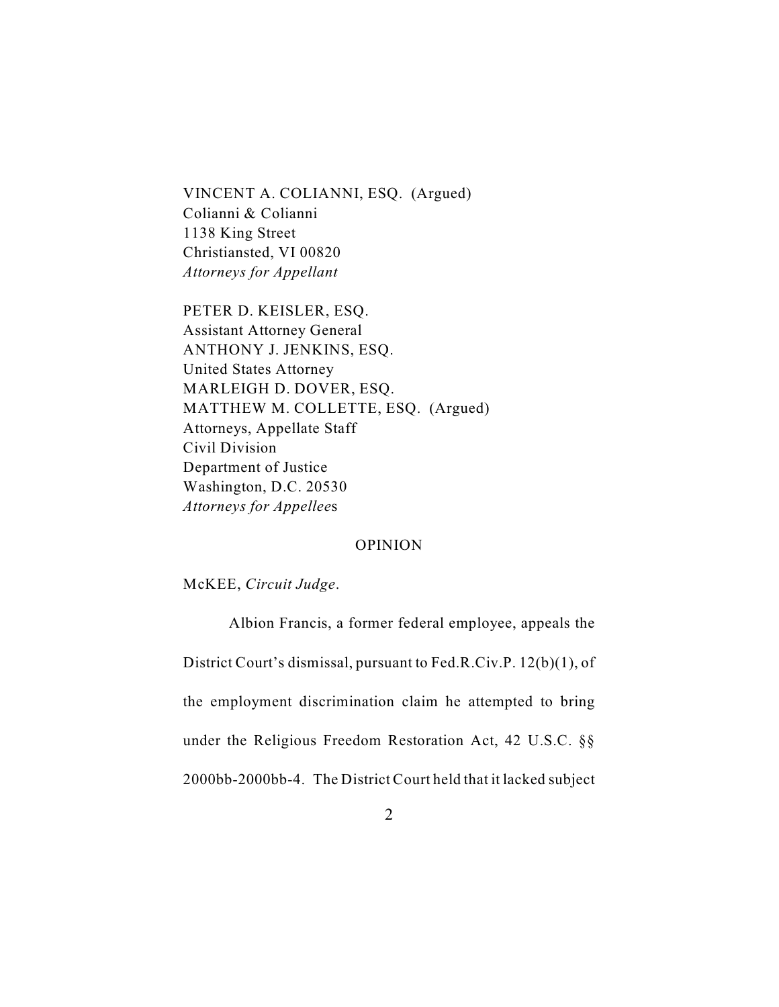VINCENT A. COLIANNI, ESQ.(Argued) Colianni & Colianni 1138 King Street Christiansted, VI 00820 *Attorneys for Appellant*

PETER D. KEISLER, ESQ. Assistant Attorney General ANTHONY J. JENKINS, ESQ. United States Attorney MARLEIGH D. DOVER, ESQ. MATTHEW M. COLLETTE, ESQ. (Argued) Attorneys, Appellate Staff Civil Division Department of Justice Washington, D.C. 20530 *Attorneys for Appellee*s

## OPINION

McKEE, *Circuit Judge*.

Albion Francis, a former federal employee, appeals the District Court's dismissal, pursuant to Fed.R.Civ.P. 12(b)(1), of the employment discrimination claim he attempted to bring under the Religious Freedom Restoration Act, 42 U.S.C. §§ 2000bb-2000bb-4. The District Court held that it lacked subject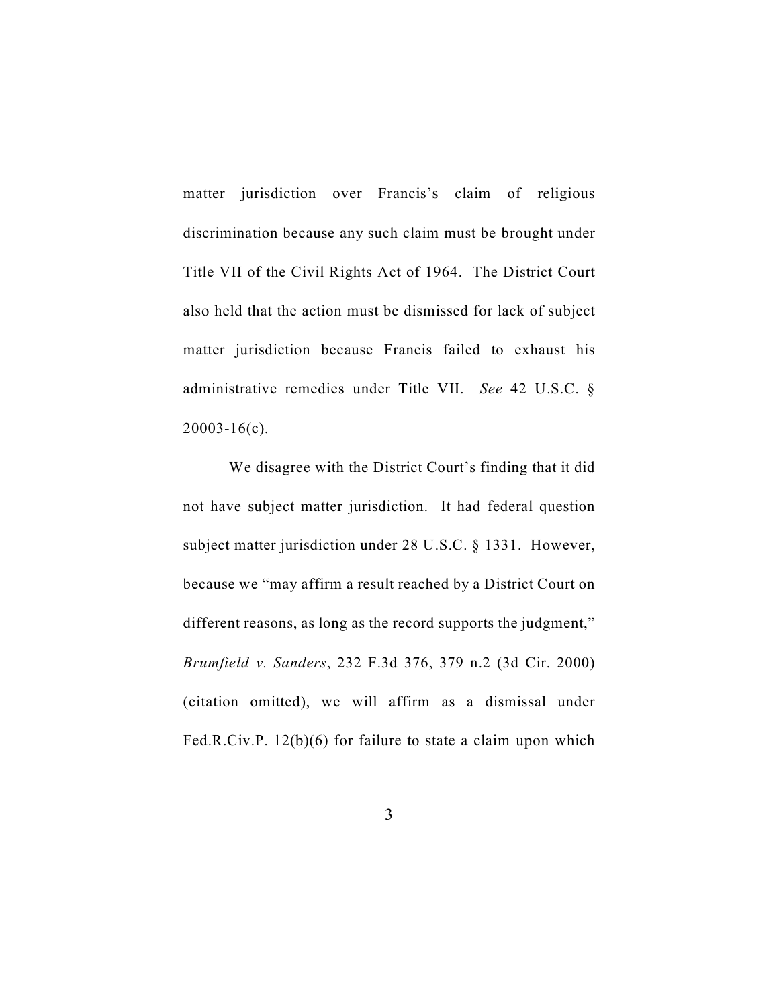matter jurisdiction over Francis's claim of religious discrimination because any such claim must be brought under Title VII of the Civil Rights Act of 1964. The District Court also held that the action must be dismissed for lack of subject matter jurisdiction because Francis failed to exhaust his administrative remedies under Title VII. *See* 42 U.S.C. §  $20003 - 16(c)$ .

We disagree with the District Court's finding that it did not have subject matter jurisdiction. It had federal question subject matter jurisdiction under 28 U.S.C. § 1331. However, because we "may affirm a result reached by a District Court on different reasons, as long as the record supports the judgment," *Brumfield v. Sanders*, 232 F.3d 376, 379 n.2 (3d Cir. 2000) (citation omitted), we will affirm as a dismissal under Fed.R.Civ.P. 12(b)(6) for failure to state a claim upon which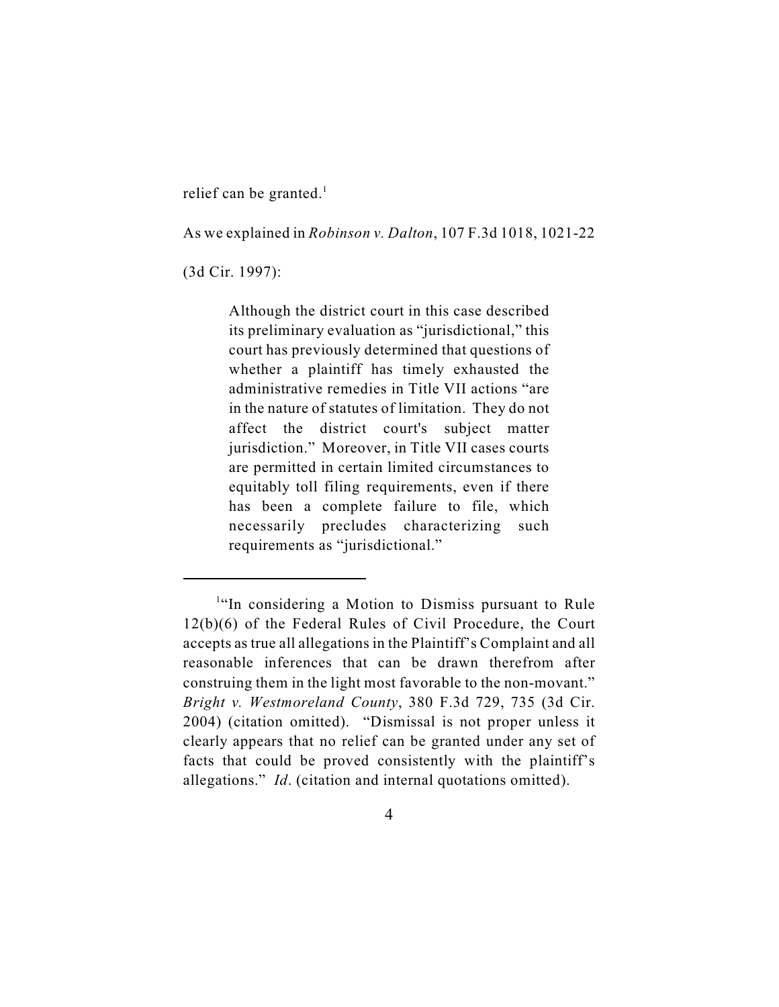relief can be granted.<sup>1</sup>

As we explained in *Robinson v. Dalton*, 107 F.3d 1018, 1021-22

(3d Cir. 1997):

Although the district court in this case described its preliminary evaluation as "jurisdictional," this court has previously determined that questions of whether a plaintiff has timely exhausted the administrative remedies in Title VII actions "are in the nature of statutes of limitation. They do not affect the district court's subject matter jurisdiction." Moreover, in Title VII cases courts are permitted in certain limited circumstances to equitably toll filing requirements, even if there has been a complete failure to file, which necessarily precludes characterizing such requirements as "jurisdictional."

 $<sup>1</sup>$ "In considering a Motion to Dismiss pursuant to Rule</sup> 12(b)(6) of the Federal Rules of Civil Procedure, the Court accepts as true all allegations in the Plaintiff's Complaint and all reasonable inferences that can be drawn therefrom after construing them in the light most favorable to the non-movant." *Bright v. Westmoreland County*, 380 F.3d 729, 735 (3d Cir. 2004) (citation omitted). "Dismissal is not proper unless it clearly appears that no relief can be granted under any set of facts that could be proved consistently with the plaintiff's allegations." *Id*. (citation and internal quotations omitted).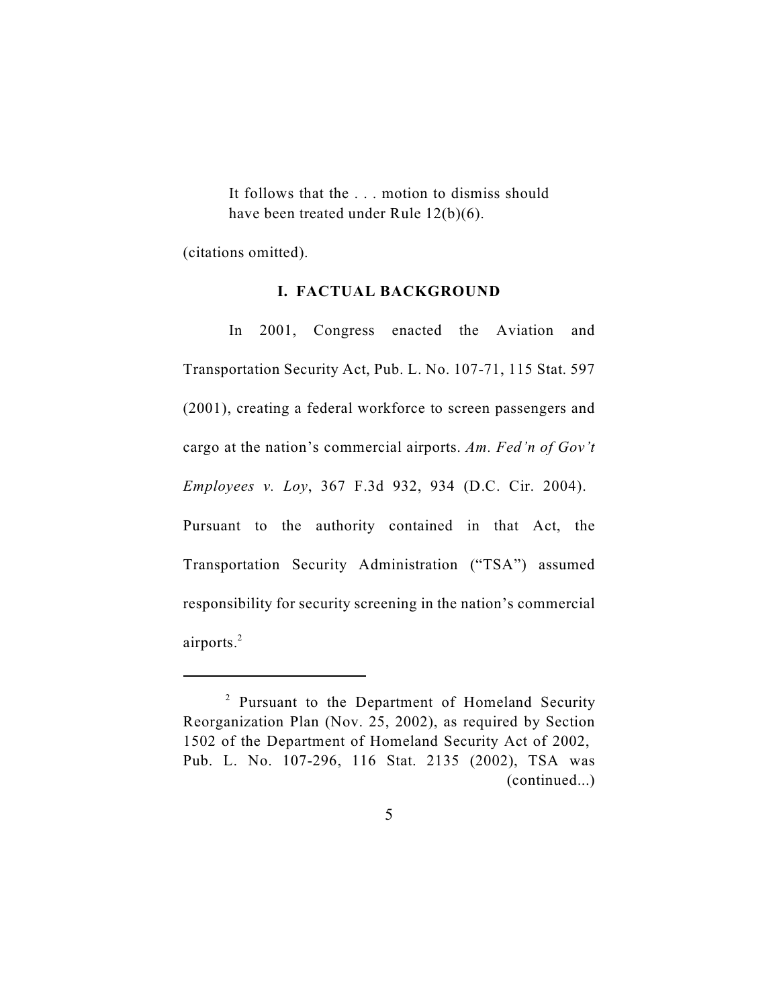It follows that the . . . motion to dismiss should have been treated under Rule 12(b)(6).

(citations omitted).

#### **I. FACTUAL BACKGROUND**

In 2001, Congress enacted the Aviation and Transportation Security Act, Pub. L. No. 107-71, 115 Stat. 597 (2001), creating a federal workforce to screen passengers and cargo at the nation's commercial airports. *Am. Fed'n of Gov't Employees v. Loy*, 367 F.3d 932, 934 (D.C. Cir. 2004). Pursuant to the authority contained in that Act, the Transportation Security Administration ("TSA") assumed responsibility for security screening in the nation's commercial airports.<sup>2</sup>

 $2$  Pursuant to the Department of Homeland Security Reorganization Plan (Nov. 25, 2002), as required by Section 1502 of the Department of Homeland Security Act of 2002, Pub. [L. No. 107-296, 116 Stat. 2135 \(2002\)](http://web2.westlaw.com/find/default.wl?tf=-1&rs=WLW7.06&fn=_top&sv=Split&tc=-1&findtype=l&docname=UU(ID79FB6899E-2C448F9EC1A-546081C08AC)&db=1077005&vr=2.0&rp=%2ffind%2fdefault.wl&mt=Westlaw), TSA was (continued...)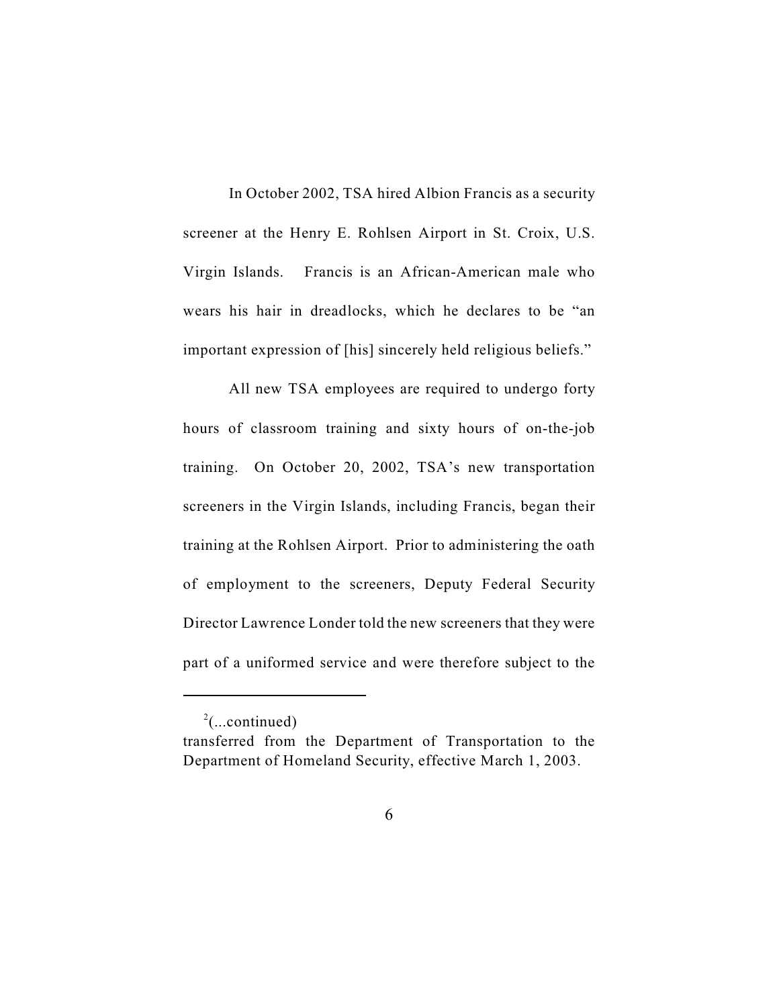In October 2002, TSA hired Albion Francis as a security screener at the Henry E. Rohlsen Airport in St. Croix, U.S. Virgin Islands. Francis is an African-American male who wears his hair in dreadlocks, which he declares to be "an important expression of [his] sincerely held religious beliefs."

All new TSA employees are required to undergo forty hours of classroom training and sixty hours of on-the-job training. On October 20, 2002, TSA's new transportation screeners in the Virgin Islands, including Francis, began their training at the Rohlsen Airport. Prior to administering the oath of employment to the screeners, Deputy Federal Security Director Lawrence Londer told the new screeners that they were part of a uniformed service and were therefore subject to the

 $^{2}$ (...continued)

transferred from the Department of Transportation to the Department of Homeland Security, effective March 1, 2003.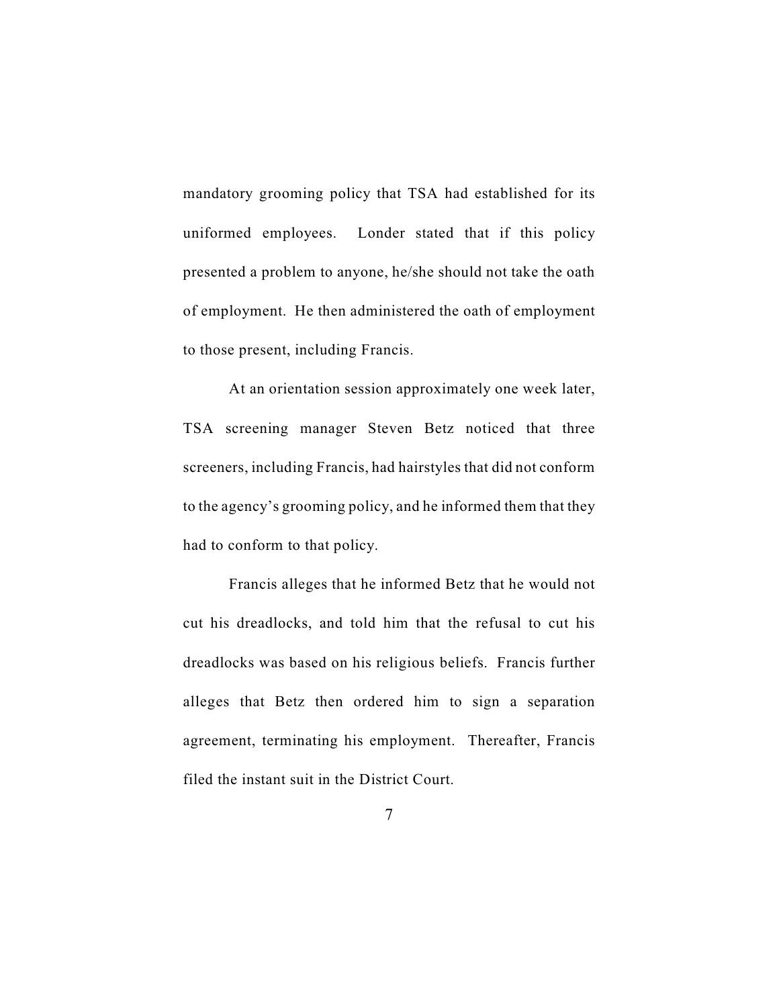mandatory grooming policy that TSA had established for its uniformed employees. Londer stated that if this policy presented a problem to anyone, he/she should not take the oath of employment. He then administered the oath of employment to those present, including Francis.

At an orientation session approximately one week later, TSA screening manager Steven Betz noticed that three screeners, including Francis, had hairstyles that did not conform to the agency's grooming policy, and he informed them that they had to conform to that policy.

Francis alleges that he informed Betz that he would not cut his dreadlocks, and told him that the refusal to cut his dreadlocks was based on his religious beliefs. Francis further alleges that Betz then ordered him to sign a separation agreement, terminating his employment. Thereafter, Francis filed the instant suit in the District Court.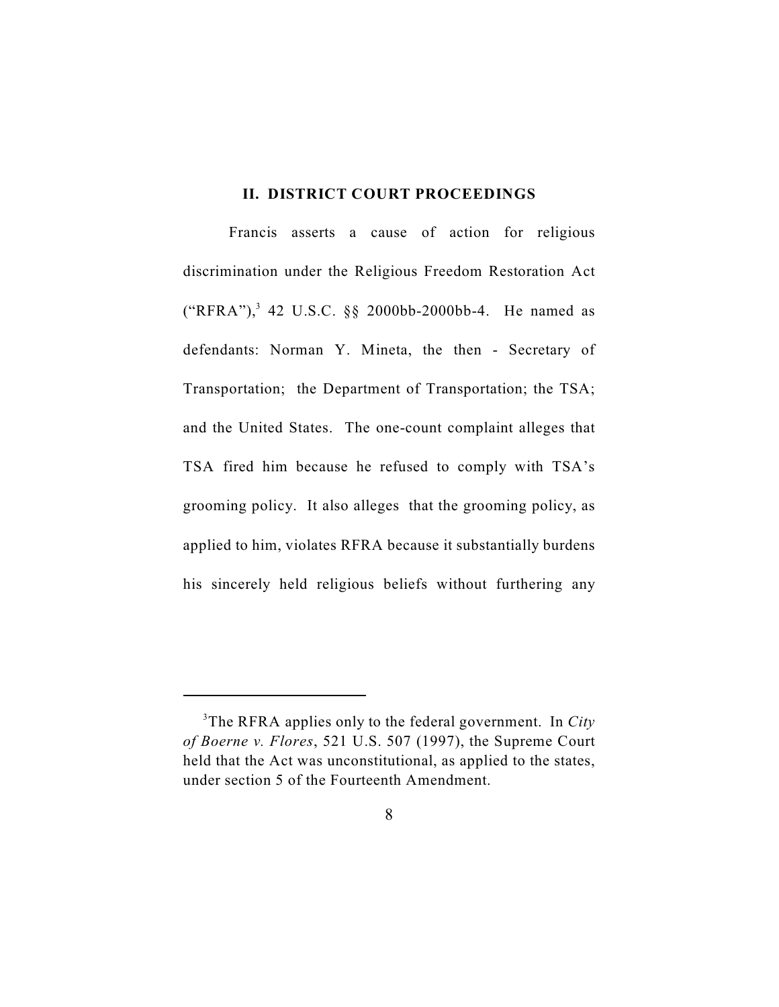## **II. DISTRICT COURT PROCEEDINGS**

Francis asserts a cause of action for religious discrimination under the Religious Freedom Restoration Act  $("RFRA")$ , 42 U.S.C. §§ 2000bb-2000bb-4. He named as defendants: Norman Y. Mineta, the then - Secretary of Transportation; the Department of Transportation; the TSA; and the United States. The one-count complaint alleges that TSA fired him because he refused to comply with TSA's grooming policy. It also alleges that the grooming policy, as applied to him, violates RFRA because it substantially burdens his sincerely held religious beliefs without furthering any

<sup>&</sup>lt;sup>3</sup>The RFRA applies only to the federal government. In *City of Boerne v. Flores*, 521 U.S. 507 (1997), the Supreme Court held that the Act was unconstitutional, as applied to the states, under section 5 of the Fourteenth Amendment.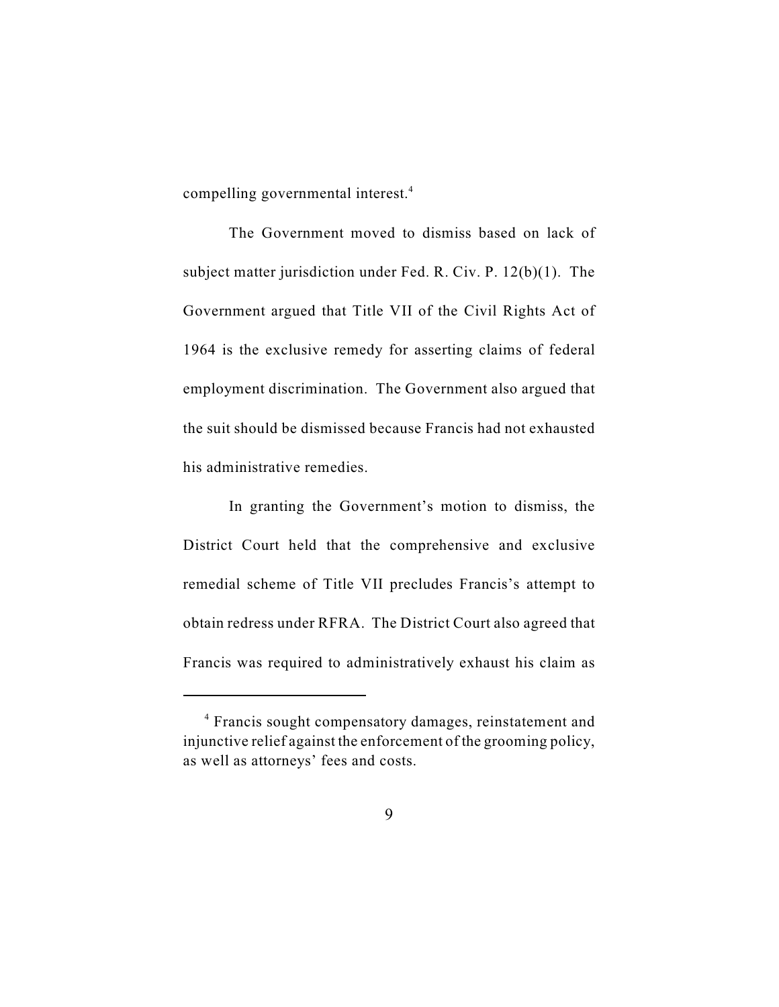compelling governmental interest.<sup>4</sup>

The Government moved to dismiss based on lack of subject matter jurisdiction under Fed. R. Civ. P. 12(b)(1). The Government argued that Title VII of the Civil Rights Act of 1964 is the exclusive remedy for asserting claims of federal employment discrimination. The Government also argued that the suit should be dismissed because Francis had not exhausted his administrative remedies.

In granting the Government's motion to dismiss, the District Court held that the comprehensive and exclusive remedial scheme of Title VII precludes Francis's attempt to obtain redress under RFRA. The District Court also agreed that Francis was required to administratively exhaust his claim as

<sup>&</sup>lt;sup>4</sup> Francis sought compensatory damages, reinstatement and injunctive relief against the enforcement of the grooming policy, as well as attorneys' fees and costs.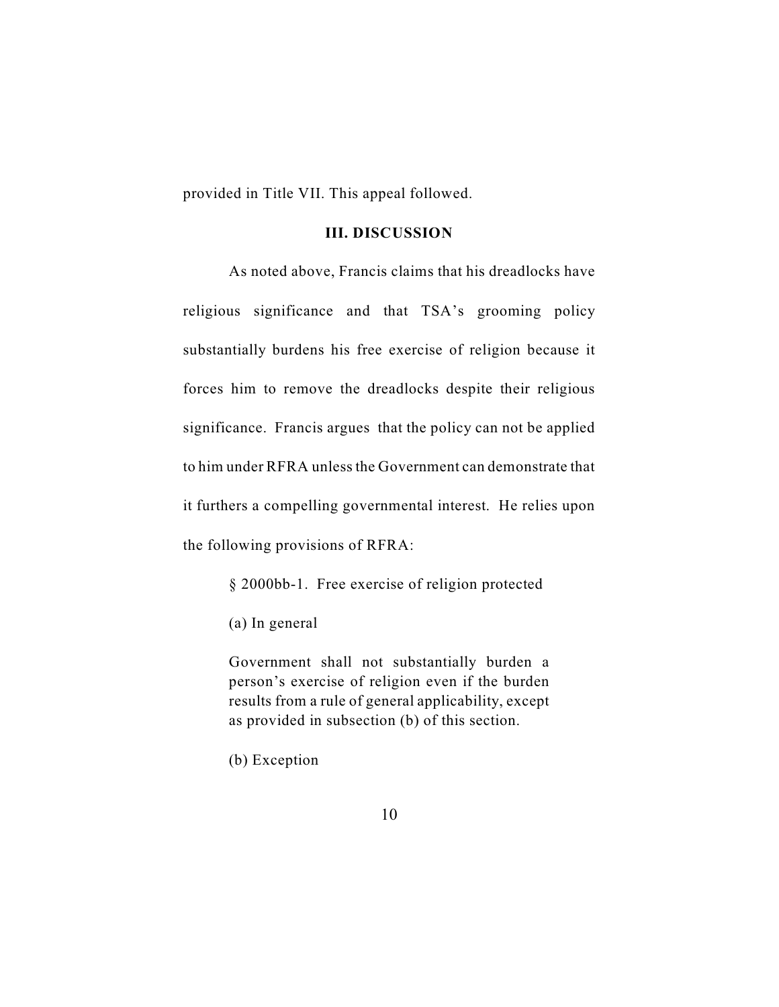provided in Title VII. This appeal followed.

## **III. DISCUSSION**

As noted above, Francis claims that his dreadlocks have religious significance and that TSA's grooming policy substantially burdens his free exercise of religion because it forces him to remove the dreadlocks despite their religious significance. Francis argues that the policy can not be applied to him under RFRA unless the Government can demonstrate that it furthers a compelling governmental interest. He relies upon the following provisions of RFRA:

§ 2000bb-1. Free exercise of religion protected

(a) In general

Government shall not substantially burden a person's exercise of religion even if the burden results from a rule of general applicability, except as provided in subsection (b) of this section.

(b) Exception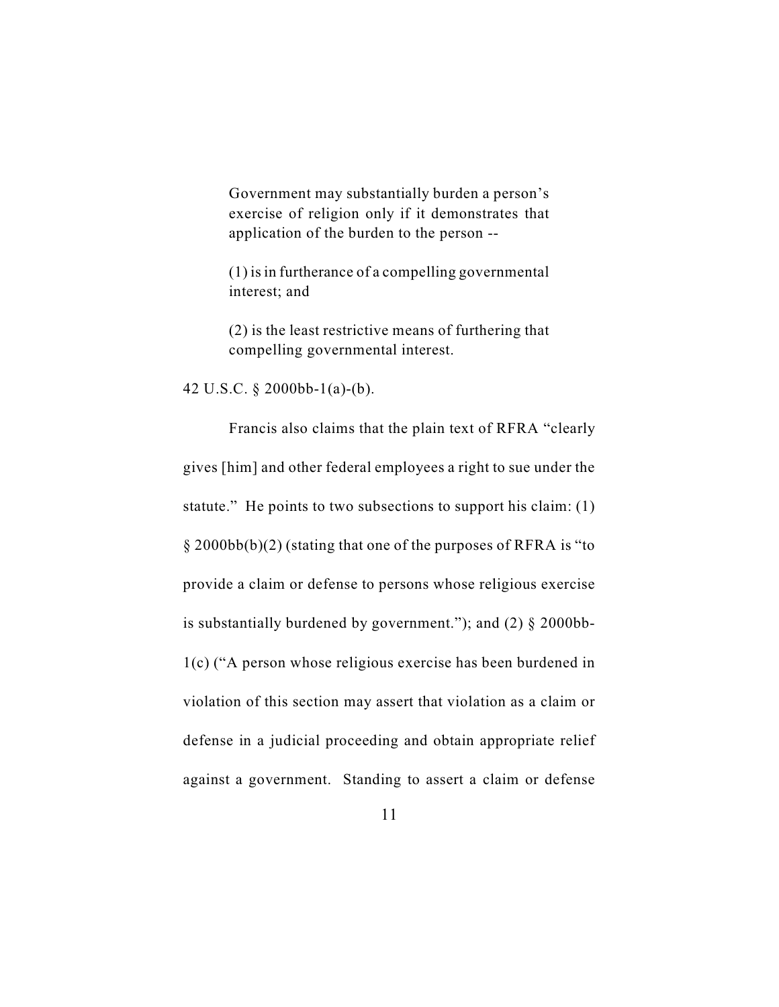Government may substantially burden a person's exercise of religion only if it demonstrates that application of the burden to the person --

(1) is in furtherance of a compelling governmental interest; and

(2) is the least restrictive means of furthering that compelling governmental interest.

42 U.S.C. § 2000bb-1(a)-(b).

Francis also claims that the plain text of RFRA "clearly gives [him] and other federal employees a right to sue under the statute." He points to two subsections to support his claim: (1) § 2000bb(b)(2) (stating that one of the purposes of RFRA is "to provide a claim or defense to persons whose religious exercise is substantially burdened by government."); and  $(2)$  § 2000bb-1(c) ("A person whose religious exercise has been burdened in violation of this section may assert that violation as a claim or defense in a judicial proceeding and obtain appropriate relief against a government. Standing to assert a claim or defense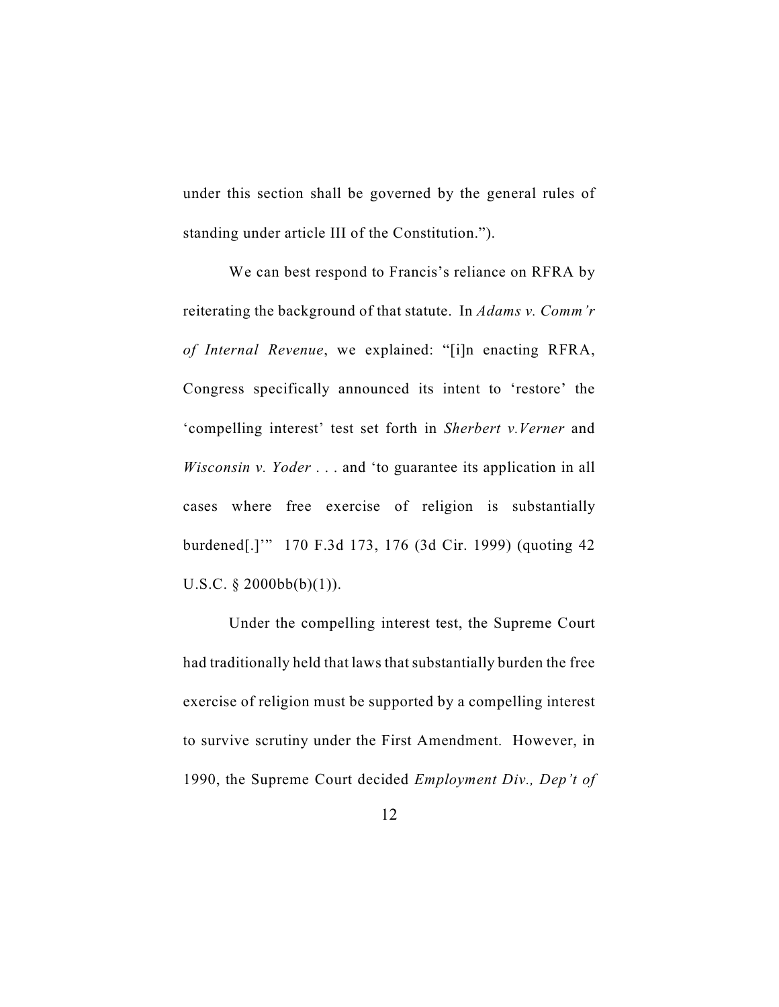under this section shall be governed by the general rules of standing under article III of the Constitution.").

We can best respond to Francis's reliance on RFRA by reiterating the background of that statute. In *Adams v. Comm'r of Internal Revenue*, we explained: "[i]n enacting RFRA, Congress specifically announced its intent to 'restore' the 'compelling interest' test set forth in *Sherbert v.Verner* and *Wisconsin v. Yoder* . . . and 'to guarantee its application in all cases where free exercise of religion is substantially burdened[.]'" 170 F.3d 173, 176 (3d Cir. 1999) (quoting 42 U.S.C.  $\S$  2000bb(b)(1)).

Under the compelling interest test, the Supreme Court had traditionally held that laws that substantially burden the free exercise of religion must be supported by a compelling interest to survive scrutiny under the First Amendment. However, in 1990, the Supreme Court decided *Employment Div., Dep't of*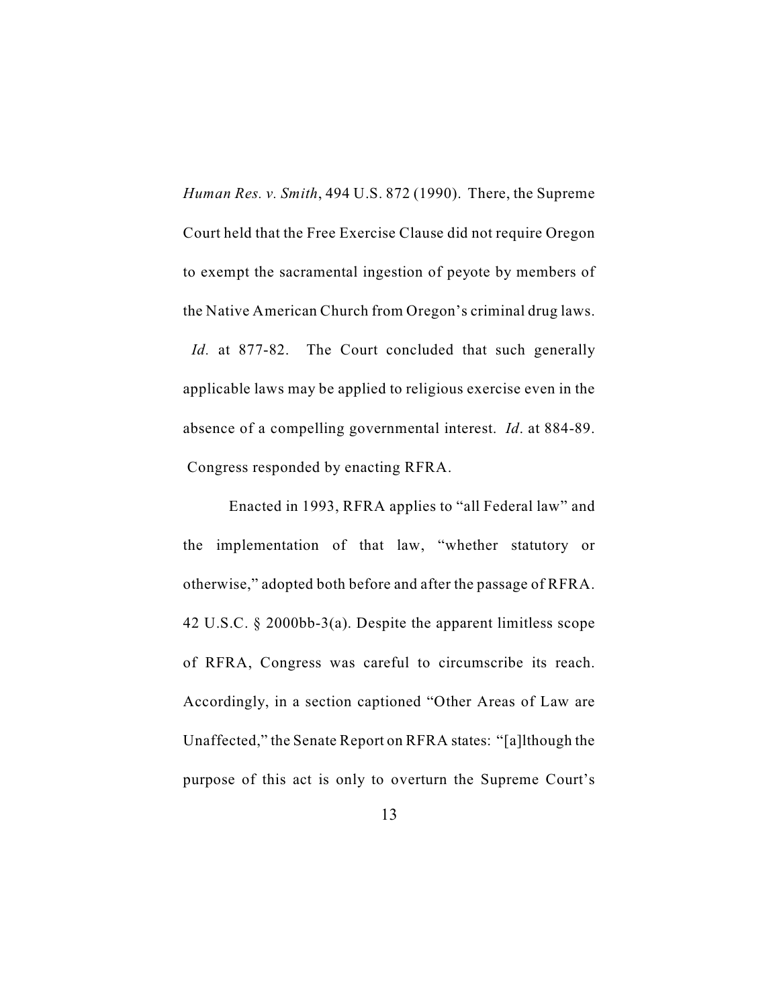*Human Res. v. Smith*, 494 U.S. 872 (1990). There, the Supreme Court held that the Free Exercise Clause did not require Oregon to exempt the sacramental ingestion of peyote by members of the Native American Church from Oregon's criminal drug laws. *Id.* at 877-82. The Court concluded that such generally applicable laws may be applied to religious exercise even in the absence of a compelling governmental interest. *Id*. at 884-89. Congress responded by enacting RFRA.

Enacted in 1993, RFRA applies to "all Federal law" and the implementation of that law, "whether statutory or otherwise," adopted both before and after the passage of RFRA. 42 U.S.C. § 2000bb-3(a). Despite the apparent limitless scope of RFRA, Congress was careful to circumscribe its reach. Accordingly, in a section captioned "Other Areas of Law are Unaffected," the Senate Report on RFRA states: "[a]lthough the purpose of this act is only to overturn the Supreme Court's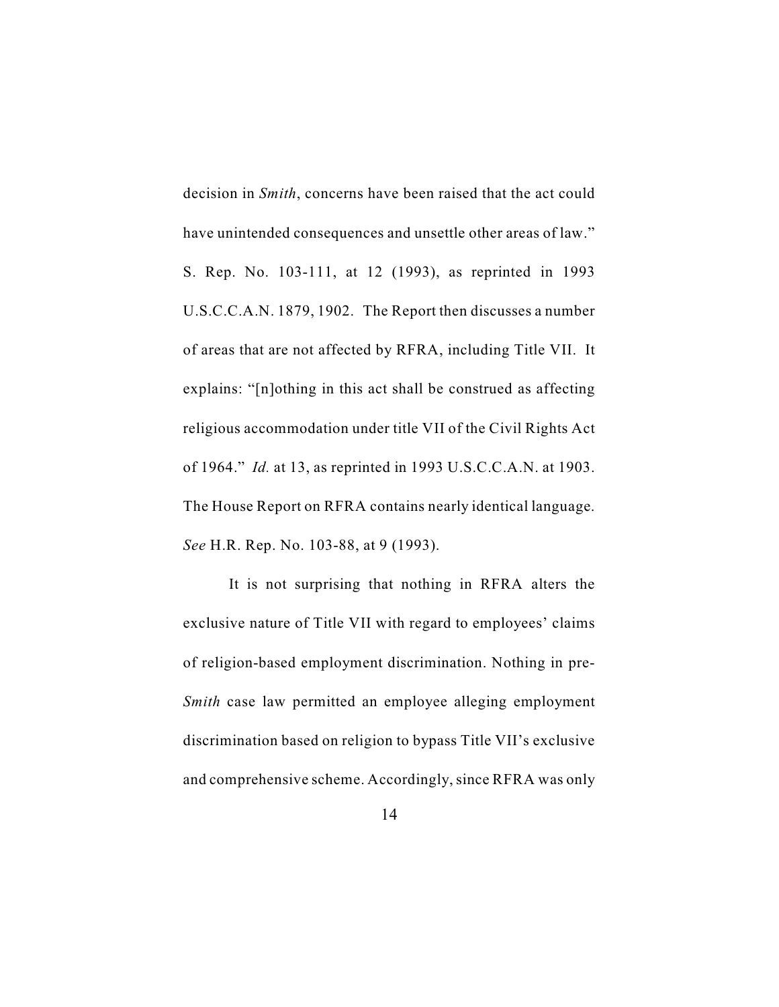decision in *Smith*, concerns have been raised that the act could have unintended consequences and unsettle other areas of law." S. Rep. No. 103-111, at 12 (1993), as reprinted in 1993 U.S.C.C.A.N. 1879, 1902. The Report then discusses a number of areas that are not affected by RFRA, including Title VII. It explains: "[n]othing in this act shall be construed as affecting religious accommodation under title VII of the Civil Rights Act of 1964." *Id.* at 13, as reprinted in 1993 U.S.C.C.A.N. at 1903. The House Report on RFRA contains nearly identical language. *See* H.R. Rep. No. 103-88, at 9 (1993).

It is not surprising that nothing in RFRA alters the exclusive nature of Title VII with regard to employees' claims of religion-based employment discrimination. Nothing in pre-*Smith* case law permitted an employee alleging employment discrimination based on religion to bypass Title VII's exclusive and comprehensive scheme. Accordingly, since RFRA was only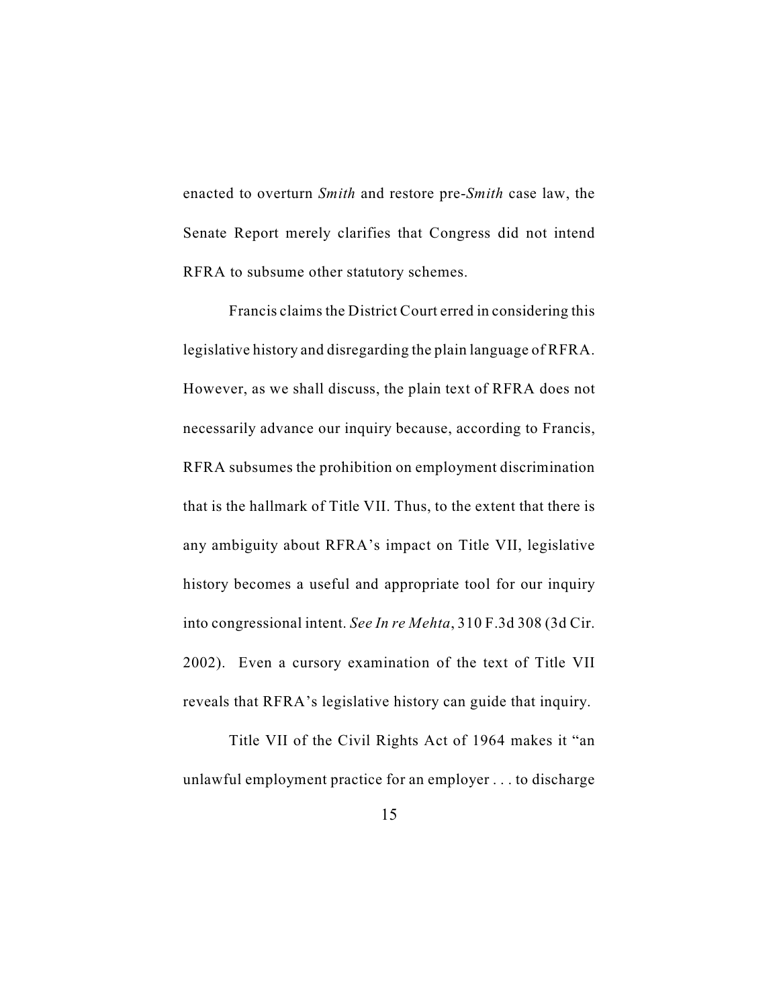enacted to overturn *Smith* and restore pre-*Smith* case law, the Senate Report merely clarifies that Congress did not intend RFRA to subsume other statutory schemes.

Francis claims the District Court erred in considering this legislative history and disregarding the plain language of RFRA. However, as we shall discuss, the plain text of RFRA does not necessarily advance our inquiry because, according to Francis, RFRA subsumes the prohibition on employment discrimination that is the hallmark of Title VII. Thus, to the extent that there is any ambiguity about RFRA's impact on Title VII, legislative history becomes a useful and appropriate tool for our inquiry into congressional intent. *See In re Mehta*, 310 F.3d 308 (3d Cir. 2002). Even a cursory examination of the text of Title VII reveals that RFRA's legislative history can guide that inquiry.

Title VII of the Civil Rights Act of 1964 makes it "an unlawful employment practice for an employer . . . to discharge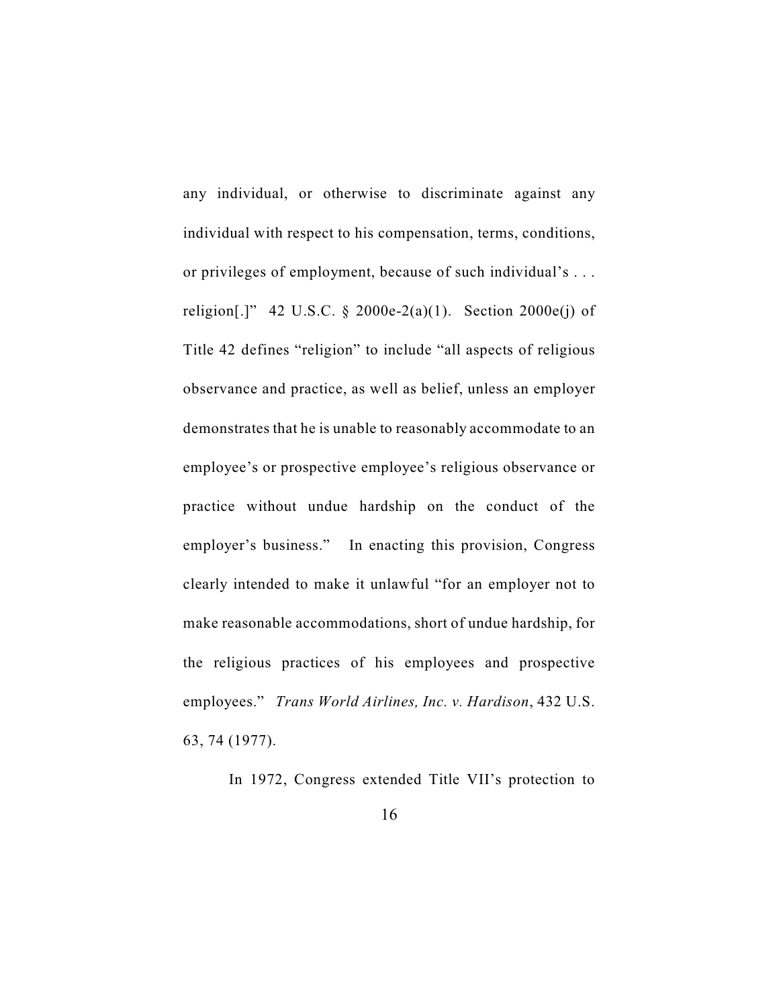any individual, or otherwise to discriminate against any individual with respect to his compensation, terms, conditions, or privileges of employment, because of such individual's . . . religion[.]" 42 U.S.C. § 2000e-2(a)(1). Section 2000e(j) of Title 42 defines "religion" to include "all aspects of religious observance and practice, as well as belief, unless an employer demonstrates that he is unable to reasonably accommodate to an employee's or prospective employee's religious observance or practice without undue hardship on the conduct of the employer's business." In enacting this provision, Congress clearly intended to make it unlawful "for an employer not to make reasonable accommodations, short of undue hardship, for the religious practices of his employees and prospective employees." *Trans World Airlines, Inc. v. Hardison*, 432 U.S. 63, 74 (1977).

In 1972, Congress extended Title VII's protection to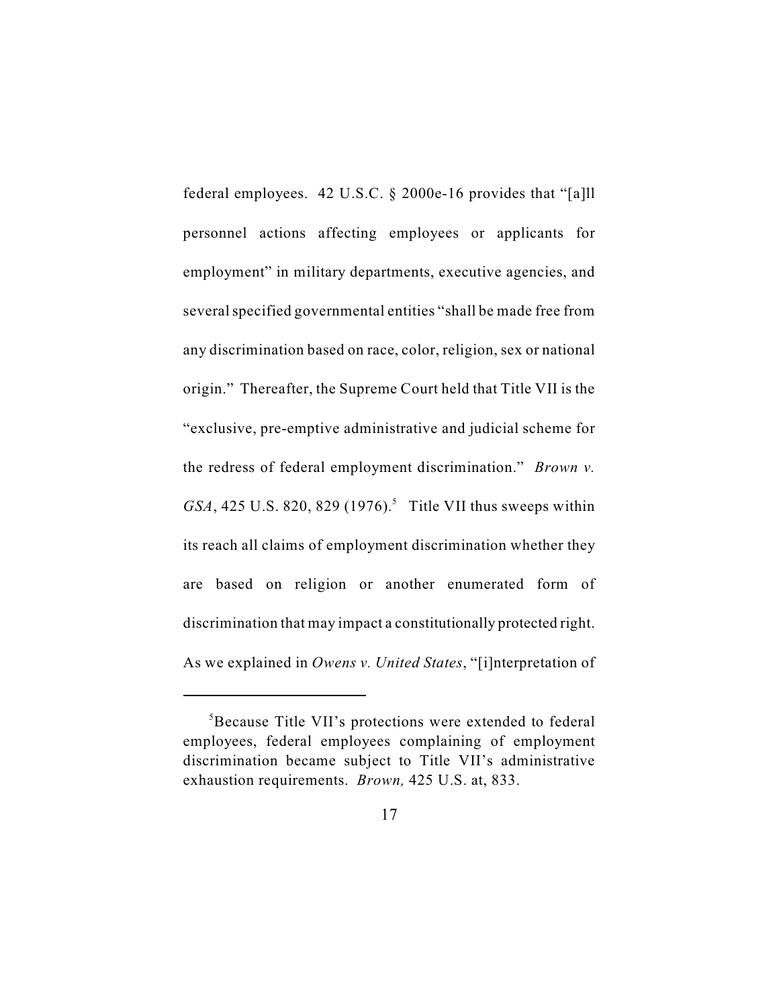federal employees. 42 U.S.C. § 2000e-16 provides that "[a]ll personnel actions affecting employees or applicants for employment" in military departments, executive agencies, and several specified governmental entities "shall be made free from any discrimination based on race, color, religion, sex or national origin." Thereafter, the Supreme Court held that Title VII is the "exclusive, pre-emptive administrative and judicial scheme for the redress of federal employment discrimination." *Brown v. GSA*, 425 U.S. 820, 829 (1976).<sup>5</sup> Title VII thus sweeps within its reach all claims of employment discrimination whether they are based on religion or another enumerated form of discrimination that may impact a constitutionally protected right. As we explained in *Owens v. United States*, "[i]nterpretation of

<sup>&</sup>lt;sup>5</sup>Because Title VII's protections were extended to federal employees, federal employees complaining of employment discrimination became subject to Title VII's administrative exhaustion requirements. *Brown,* 425 U.S. at, 833.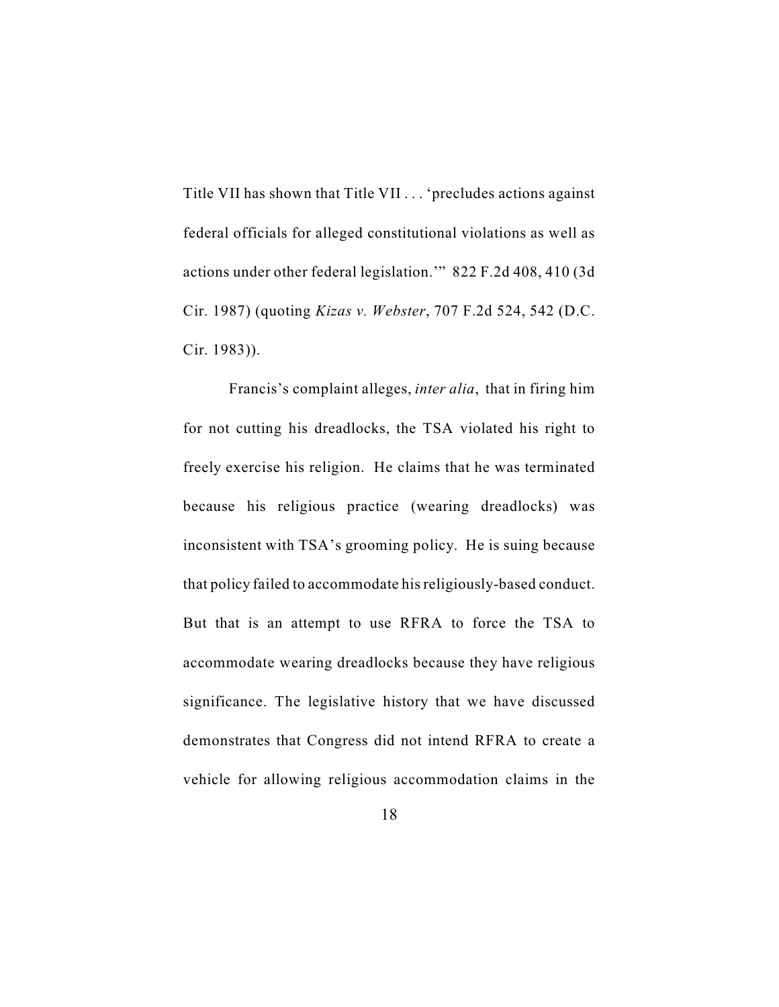Title VII has shown that Title VII . . . 'precludes actions against federal officials for alleged constitutional violations as well as actions under other federal legislation.'" 822 F.2d 408, 410 (3d Cir. 1987) (quoting *Kizas v. Webster*, 707 F.2d 524, 542 (D.C. Cir. 1983)).

Francis's complaint alleges, *inter alia*, that in firing him for not cutting his dreadlocks, the TSA violated his right to freely exercise his religion. He claims that he was terminated because his religious practice (wearing dreadlocks) was inconsistent with TSA's grooming policy. He is suing because that policy failed to accommodate his religiously-based conduct. But that is an attempt to use RFRA to force the TSA to accommodate wearing dreadlocks because they have religious significance. The legislative history that we have discussed demonstrates that Congress did not intend RFRA to create a vehicle for allowing religious accommodation claims in the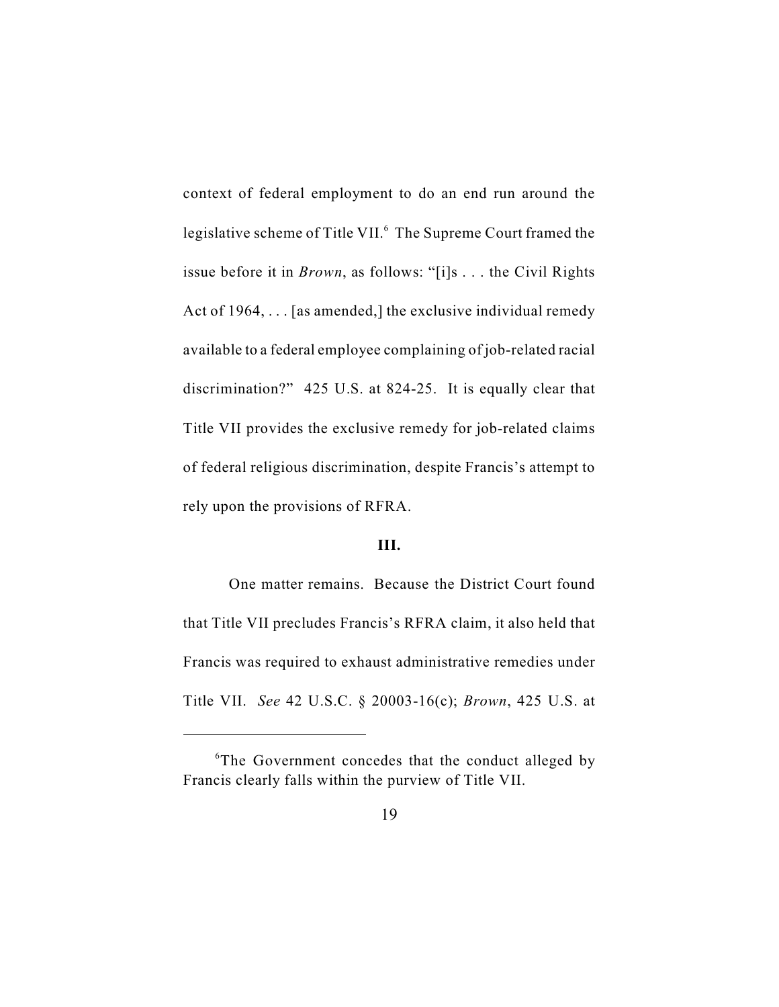context of federal employment to do an end run around the legislative scheme of Title VII.<sup>6</sup> The Supreme Court framed the issue before it in *Brown*, as follows: "[i]s . . . the Civil Rights Act of 1964, . . . [as amended,] the exclusive individual remedy available to a federal employee complaining of job-related racial discrimination?" 425 U.S. at 824-25. It is equally clear that Title VII provides the exclusive remedy for job-related claims of federal religious discrimination, despite Francis's attempt to rely upon the provisions of RFRA.

## **III.**

One matter remains. Because the District Court found that Title VII precludes Francis's RFRA claim, it also held that Francis was required to exhaust administrative remedies under Title VII. *See* 42 U.S.C. § 20003-16(c); *Brown*, 425 U.S. at

 ${}^6$ The Government concedes that the conduct alleged by Francis clearly falls within the purview of Title VII.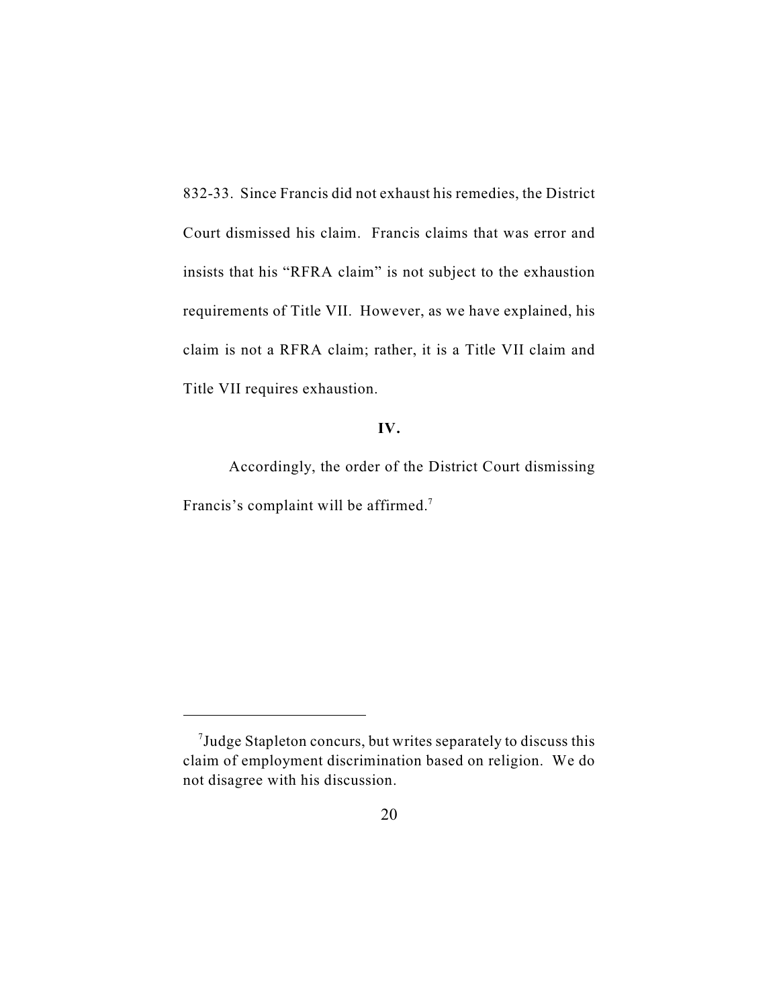832-33. Since Francis did not exhaust his remedies, the District Court dismissed his claim. Francis claims that was error and insists that his "RFRA claim" is not subject to the exhaustion requirements of Title VII. However, as we have explained, his claim is not a RFRA claim; rather, it is a Title VII claim and Title VII requires exhaustion.

## **IV.**

Accordingly, the order of the District Court dismissing Francis's complaint will be affirmed.<sup>7</sup>

 $\alpha$ <sup>7</sup> Judge Stapleton concurs, but writes separately to discuss this claim of employment discrimination based on religion. We do not disagree with his discussion.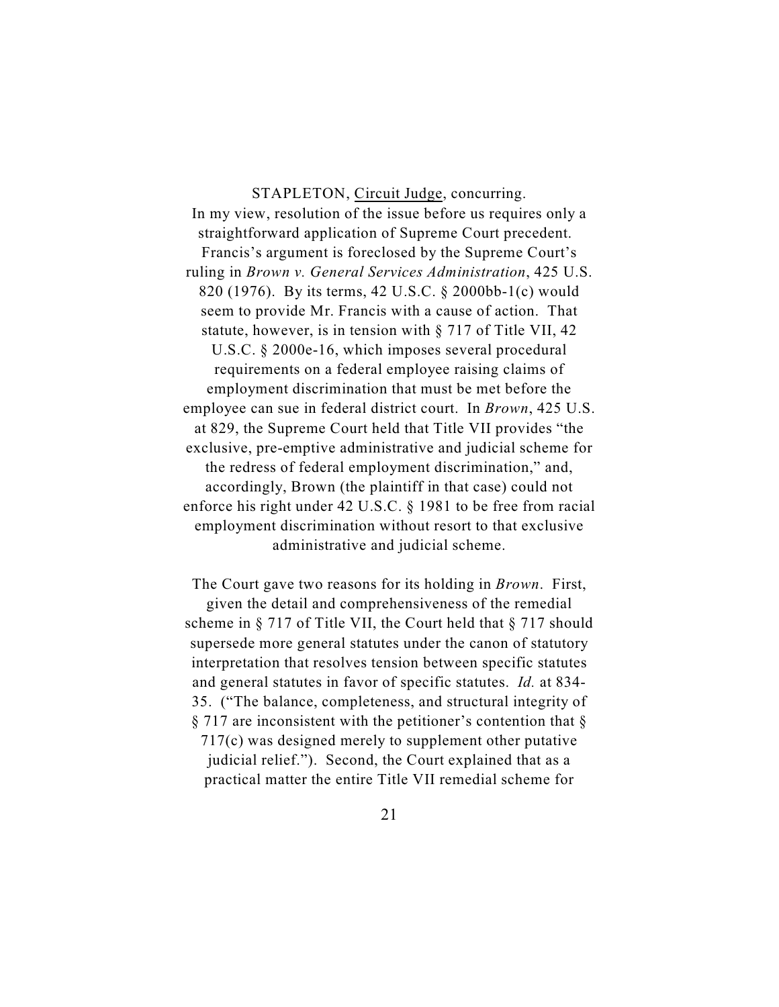STAPLETON, Circuit Judge, concurring. In my view, resolution of the issue before us requires only a straightforward application of Supreme Court precedent. Francis's argument is foreclosed by the Supreme Court's ruling in *Brown v. General Services Administration*, 425 U.S. 820 (1976). By its terms, 42 U.S.C. § 2000bb-1(c) would seem to provide Mr. Francis with a cause of action. That statute, however, is in tension with § 717 of Title VII, 42 U.S.C. § 2000e-16, which imposes several procedural requirements on a federal employee raising claims of employment discrimination that must be met before the employee can sue in federal district court. In *Brown*, 425 U.S. at 829, the Supreme Court held that Title VII provides "the exclusive, pre-emptive administrative and judicial scheme for the redress of federal employment discrimination," and, accordingly, Brown (the plaintiff in that case) could not enforce his right under 42 U.S.C. § 1981 to be free from racial employment discrimination without resort to that exclusive administrative and judicial scheme.

The Court gave two reasons for its holding in *Brown*. First, given the detail and comprehensiveness of the remedial scheme in § 717 of Title VII, the Court held that § 717 should supersede more general statutes under the canon of statutory interpretation that resolves tension between specific statutes and general statutes in favor of specific statutes. *Id.* at 834- 35. ("The balance, completeness, and structural integrity of  $\S 717$  are inconsistent with the petitioner's contention that  $\S$ 717(c) was designed merely to supplement other putative judicial relief."). Second, the Court explained that as a practical matter the entire Title VII remedial scheme for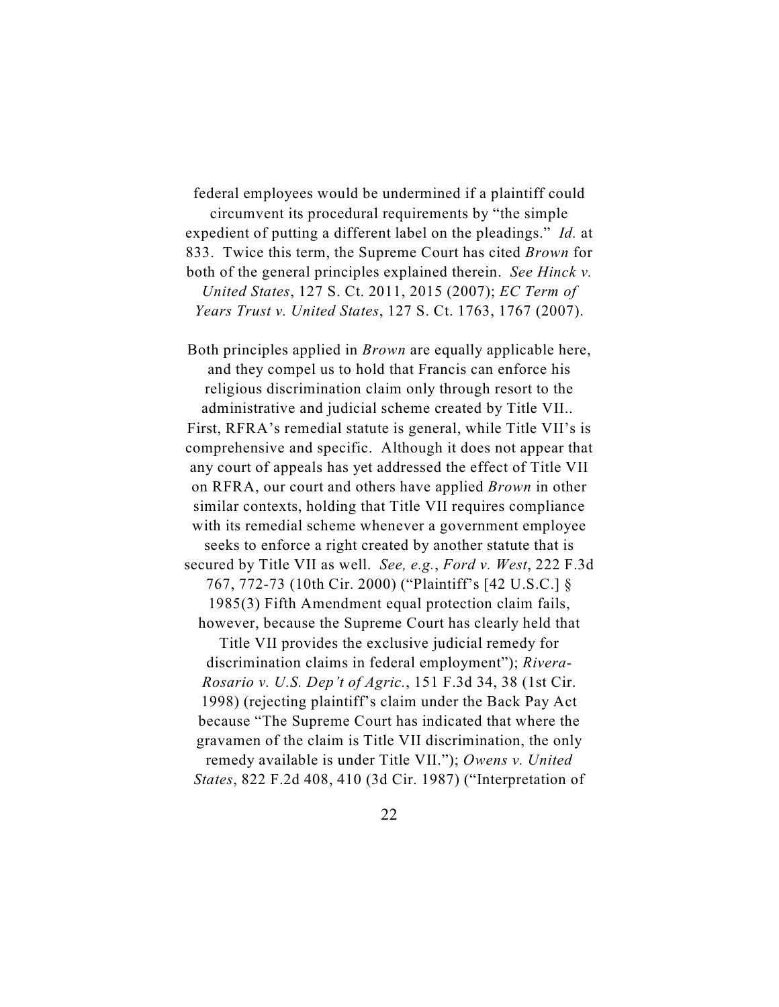federal employees would be undermined if a plaintiff could

circumvent its procedural requirements by "the simple expedient of putting a different label on the pleadings." *Id.* at 833. Twice this term, the Supreme Court has cited *Brown* for both of the general principles explained therein. *See Hinck v. United States*, 127 S. Ct. 2011, 2015 (2007); *EC Term of Years Trust v. United States*, 127 S. Ct. 1763, 1767 (2007).

Both principles applied in *Brown* are equally applicable here, and they compel us to hold that Francis can enforce his religious discrimination claim only through resort to the administrative and judicial scheme created by Title VII.. First, RFRA's remedial statute is general, while Title VII's is comprehensive and specific. Although it does not appear that any court of appeals has yet addressed the effect of Title VII on RFRA, our court and others have applied *Brown* in other similar contexts, holding that Title VII requires compliance with its remedial scheme whenever a government employee seeks to enforce a right created by another statute that is secured by Title VII as well. *See, e.g.*, *Ford v. West*, 222 F.3d 767, 772-73 (10th Cir. 2000) ("Plaintiff's [42 U.S.C.] § 1985(3) Fifth Amendment equal protection claim fails, however, because the Supreme Court has clearly held that

Title VII provides the exclusive judicial remedy for discrimination claims in federal employment"); *Rivera-Rosario v. U.S. Dep't of Agric.*, 151 F.3d 34, 38 (1st Cir. 1998) (rejecting plaintiff's claim under the Back Pay Act because "The Supreme Court has indicated that where the gravamen of the claim is Title VII discrimination, the only remedy available is under Title VII."); *Owens v. United States*, 822 F.2d 408, 410 (3d Cir. 1987) ("Interpretation of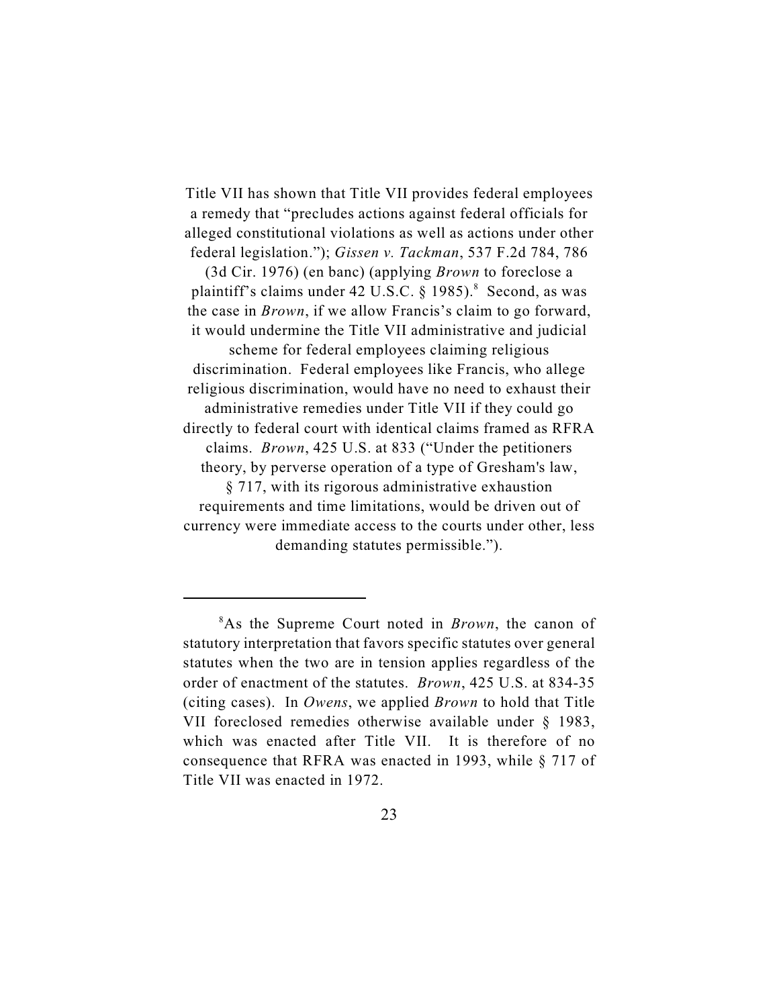Title VII has shown that Title VII provides federal employees a remedy that "precludes actions against federal officials for alleged constitutional violations as well as actions under other federal legislation."); *Gissen v. Tackman*, 537 F.2d 784, 786

(3d Cir. 1976) (en banc) (applying *Brown* to foreclose a plaintiff's claims under 42 U.S.C.  $\S$  1985).<sup>8</sup> Second, as was the case in *Brown*, if we allow Francis's claim to go forward, it would undermine the Title VII administrative and judicial scheme for federal employees claiming religious discrimination. Federal employees like Francis, who allege religious discrimination, would have no need to exhaust their administrative remedies under Title VII if they could go directly to federal court with identical claims framed as RFRA

claims. *Brown*, 425 U.S. at 833 ("Under the petitioners theory, by perverse operation of a type of Gresham's law,

§ 717, with its rigorous administrative exhaustion requirements and time limitations, would be driven out of currency were immediate access to the courts under other, less demanding statutes permissible.").

 $8$ As the Supreme Court noted in *Brown*, the canon of statutory interpretation that favors specific statutes over general statutes when the two are in tension applies regardless of the order of enactment of the statutes. *Brown*, 425 U.S. at 834-35 (citing cases). In *Owens*, we applied *Brown* to hold that Title VII foreclosed remedies otherwise available under § 1983, which was enacted after Title VII. It is therefore of no consequence that RFRA was enacted in 1993, while § 717 of Title VII was enacted in 1972.